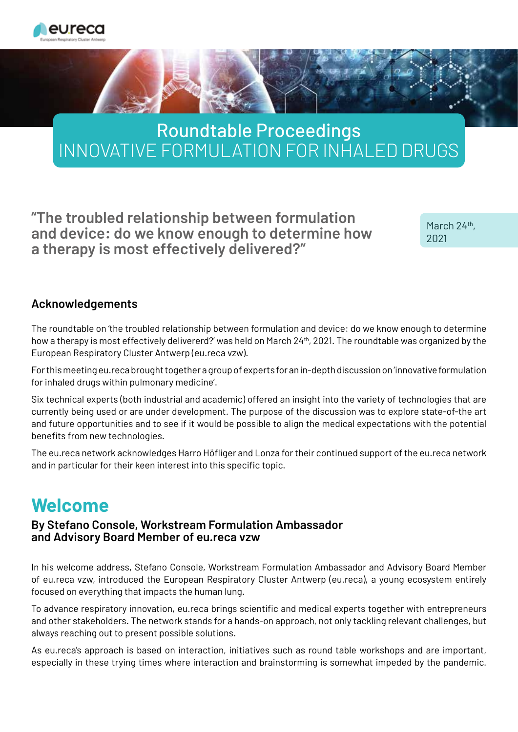



**"The troubled relationship between formulation and device: do we know enough to determine how a therapy is most effectively delivered?"**

March 24<sup>th</sup>, 2021

#### **Acknowledgements**

The roundtable on 'the troubled relationship between formulation and device: do we know enough to determine how a therapy is most effectively delivererd?' was held on March 24<sup>th</sup>, 2021. The roundtable was organized by the European Respiratory Cluster Antwerp (eu.reca vzw).

For this meeting eu.reca brought together a group of experts for an in-depth discussion on 'innovative formulation for inhaled drugs within pulmonary medicine'.

Six technical experts (both industrial and academic) offered an insight into the variety of technologies that are currently being used or are under development. The purpose of the discussion was to explore state-of-the art and future opportunities and to see if it would be possible to align the medical expectations with the potential benefits from new technologies.

The eu.reca network acknowledges Harro Höfliger and Lonza for their continued support of the eu.reca network and in particular for their keen interest into this specific topic.

# **Welcome**

#### **By Stefano Console, Workstream Formulation Ambassador and Advisory Board Member of eu.reca vzw**

In his welcome address, Stefano Console, Workstream Formulation Ambassador and Advisory Board Member of eu.reca vzw, introduced the European Respiratory Cluster Antwerp (eu.reca), a young ecosystem entirely focused on everything that impacts the human lung.

To advance respiratory innovation, eu.reca brings scientific and medical experts together with entrepreneurs and other stakeholders. The network stands for a hands-on approach, not only tackling relevant challenges, but always reaching out to present possible solutions.

As eu.reca's approach is based on interaction, initiatives such as round table workshops and are important, especially in these trying times where interaction and brainstorming is somewhat impeded by the pandemic.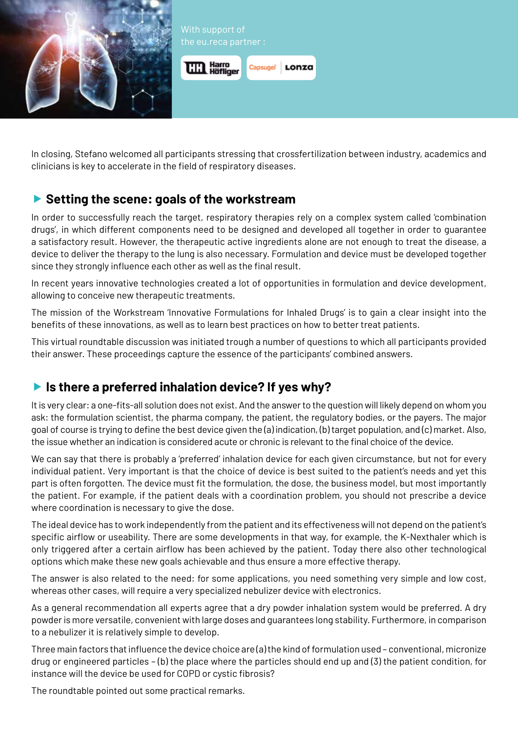

In closing, Stefano welcomed all participants stressing that crossfertilization between industry, academics and clinicians is key to accelerate in the field of respiratory diseases.

## **Setting the scene: goals of the workstream**

In order to successfully reach the target, respiratory therapies rely on a complex system called 'combination drugs', in which different components need to be designed and developed all together in order to guarantee a satisfactory result. However, the therapeutic active ingredients alone are not enough to treat the disease, a device to deliver the therapy to the lung is also necessary. Formulation and device must be developed together since they strongly influence each other as well as the final result.

In recent years innovative technologies created a lot of opportunities in formulation and device development, allowing to conceive new therapeutic treatments.

The mission of the Workstream 'Innovative Formulations for Inhaled Drugs' is to gain a clear insight into the benefits of these innovations, as well as to learn best practices on how to better treat patients.

This virtual roundtable discussion was initiated trough a number of questions to which all participants provided their answer. These proceedings capture the essence of the participants' combined answers.

## **Is there a preferred inhalation device? If yes why?**

It is very clear: a one-fits-all solution does not exist. And the answer to the question will likely depend on whom you ask: the formulation scientist, the pharma company, the patient, the regulatory bodies, or the payers. The major goal of course is trying to define the best device given the (a) indication, (b) target population, and (c) market. Also, the issue whether an indication is considered acute or chronic is relevant to the final choice of the device.

We can say that there is probably a 'preferred' inhalation device for each given circumstance, but not for every individual patient. Very important is that the choice of device is best suited to the patient's needs and yet this part is often forgotten. The device must fit the formulation, the dose, the business model, but most importantly the patient. For example, if the patient deals with a coordination problem, you should not prescribe a device where coordination is necessary to give the dose.

The ideal device has to work independently from the patient and its effectiveness will not depend on the patient's specific airflow or useability. There are some developments in that way, for example, the K-Nexthaler which is only triggered after a certain airflow has been achieved by the patient. Today there also other technological options which make these new goals achievable and thus ensure a more effective therapy.

The answer is also related to the need: for some applications, you need something very simple and low cost, whereas other cases, will require a very specialized nebulizer device with electronics.

As a general recommendation all experts agree that a dry powder inhalation system would be preferred. A dry powder is more versatile, convenient with large doses and guarantees long stability. Furthermore, in comparison to a nebulizer it is relatively simple to develop.

Three main factors that influence the device choice are (a) the kind of formulation used – conventional, micronize drug or engineered particles – (b) the place where the particles should end up and (3) the patient condition, for instance will the device be used for COPD or cystic fibrosis?

The roundtable pointed out some practical remarks.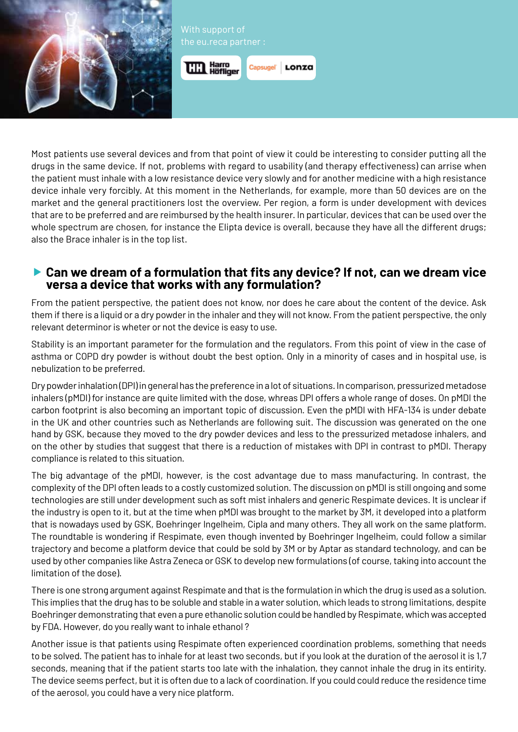



Most patients use several devices and from that point of view it could be interesting to consider putting all the drugs in the same device. If not, problems with regard to usability (and therapy effectiveness) can arrise when the patient must inhale with a low resistance device very slowly and for another medicine with a high resistance device inhale very forcibly. At this moment in the Netherlands, for example, more than 50 devices are on the market and the general practitioners lost the overview. Per region, a form is under development with devices that are to be preferred and are reimbursed by the health insurer. In particular, devices that can be used over the whole spectrum are chosen, for instance the Elipta device is overall, because they have all the different drugs; also the Brace inhaler is in the top list.

#### **Can we dream of a formulation that fits any device? If not, can we dream vice versa a device that works with any formulation?**

From the patient perspective, the patient does not know, nor does he care about the content of the device. Ask them if there is a liquid or a dry powder in the inhaler and they will not know. From the patient perspective, the only relevant determinor is wheter or not the device is easy to use.

Stability is an important parameter for the formulation and the regulators. From this point of view in the case of asthma or COPD dry powder is without doubt the best option. Only in a minority of cases and in hospital use, is nebulization to be preferred.

Dry powder inhalation (DPI) in general has the preference in a lot of situations. In comparison, pressurized metadose inhalers (pMDI) for instance are quite limited with the dose, whreas DPI offers a whole range of doses. On pMDI the carbon footprint is also becoming an important topic of discussion. Even the pMDI with HFA-134 is under debate in the UK and other countries such as Netherlands are following suit. The discussion was generated on the one hand by GSK, because they moved to the dry powder devices and less to the pressurized metadose inhalers, and on the other by studies that suggest that there is a reduction of mistakes with DPI in contrast to pMDI. Therapy compliance is related to this situation.

The big advantage of the pMDI, however, is the cost advantage due to mass manufacturing. In contrast, the complexity of the DPI often leads to a costly customized solution. The discussion on pMDI is still ongoing and some technologies are still under development such as soft mist inhalers and generic Respimate devices. It is unclear if the industry is open to it, but at the time when pMDI was brought to the market by 3M, it developed into a platform that is nowadays used by GSK, Boehringer Ingelheim, Cipla and many others. They all work on the same platform. The roundtable is wondering if Respimate, even though invented by Boehringer Ingelheim, could follow a similar trajectory and become a platform device that could be sold by 3M or by Aptar as standard technology, and can be used by other companies like Astra Zeneca or GSK to develop new formulations (of course, taking into account the limitation of the dose).

There is one strong argument against Respimate and that is the formulation in which the drug is used as a solution. This implies that the drug has to be soluble and stable in a water solution, which leads to strong limitations, despite Boehringer demonstrating that even a pure ethanolic solution could be handled by Respimate, which was accepted by FDA. However, do you really want to inhale ethanol ?

Another issue is that patients using Respimate often experienced coordination problems, something that needs to be solved. The patient has to inhale for at least two seconds, but if you look at the duration of the aerosol it is 1,7 seconds, meaning that if the patient starts too late with the inhalation, they cannot inhale the drug in its entirity. The device seems perfect, but it is often due to a lack of coordination. If you could could reduce the residence time of the aerosol, you could have a very nice platform.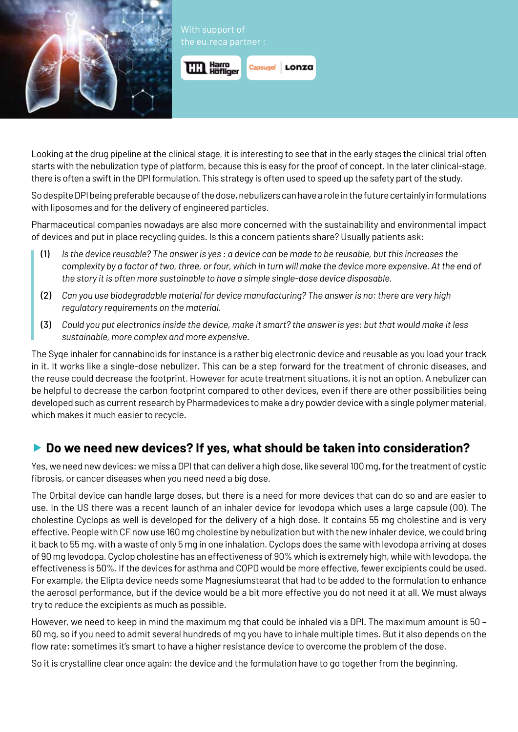



Looking at the drug pipeline at the clinical stage, it is interesting to see that in the early stages the clinical trial often starts with the nebulization type of platform, because this is easy for the proof of concept. In the later clinical-stage, there is often a swift in the DPI formulation. This strategy is often used to speed up the safety part of the study.

So despite DPI being preferable because of the dose, nebulizers can have a role in the future certainly in formulations with liposomes and for the delivery of engineered particles.

Pharmaceutical companies nowadays are also more concerned with the sustainability and environmental impact of devices and put in place recycling guides. Is this a concern patients share? Usually patients ask:

- (1) *Is the device reusable? The answer is yes : a device can be made to be reusable, but this increases the complexity by a factor of two, three, or four, which in turn will make the device more expensive. At the end of the story it is often more sustainable to have a simple single-dose device disposable.*
- (2) *Can you use biodegradable material for device manufacturing? The answer is no: there are very high regulatory requirements on the material.*
- (3) *Could you put electronics inside the device, make it smart? the answer is yes: but that would make it less sustainable, more complex and more expensive.*

The Syqe inhaler for cannabinoids for instance is a rather big electronic device and reusable as you load your track in it. It works like a single-dose nebulizer. This can be a step forward for the treatment of chronic diseases, and the reuse could decrease the footprint. However for acute treatment situations, it is not an option. A nebulizer can be helpful to decrease the carbon footprint compared to other devices, even if there are other possibilities being developed such as current research by Pharmadevices to make a dry powder device with a single polymer material, which makes it much easier to recycle.

## **Do we need new devices? If yes, what should be taken into consideration?**

Yes, we need new devices: we miss a DPI that can deliver a high dose, like several 100 mg, for the treatment of cystic fibrosis, or cancer diseases when you need need a big dose.

The Orbital device can handle large doses, but there is a need for more devices that can do so and are easier to use. In the US there was a recent launch of an inhaler device for levodopa which uses a large capsule (00). The cholestine Cyclops as well is developed for the delivery of a high dose. It contains 55 mg cholestine and is very effective. People with CF now use 160 mg cholestine by nebulization but with the new inhaler device, we could bring it back to 55 mg, with a waste of only 5 mg in one inhalation. Cyclops does the same with levodopa arriving at doses of 90 mg levodopa. Cyclop cholestine has an effectiveness of 90% which is extremely high, while with levodopa, the effectiveness is 50%. If the devices for asthma and COPD would be more effective, fewer excipients could be used. For example, the Elipta device needs some Magnesiumstearat that had to be added to the formulation to enhance the aerosol performance, but if the device would be a bit more effective you do not need it at all. We must always try to reduce the excipients as much as possible.

However, we need to keep in mind the maximum mg that could be inhaled via a DPI. The maximum amount is 50 – 60 mg, so if you need to admit several hundreds of mg you have to inhale multiple times. But it also depends on the flow rate: sometimes it's smart to have a higher resistance device to overcome the problem of the dose.

So it is crystalline clear once again: the device and the formulation have to go together from the beginning.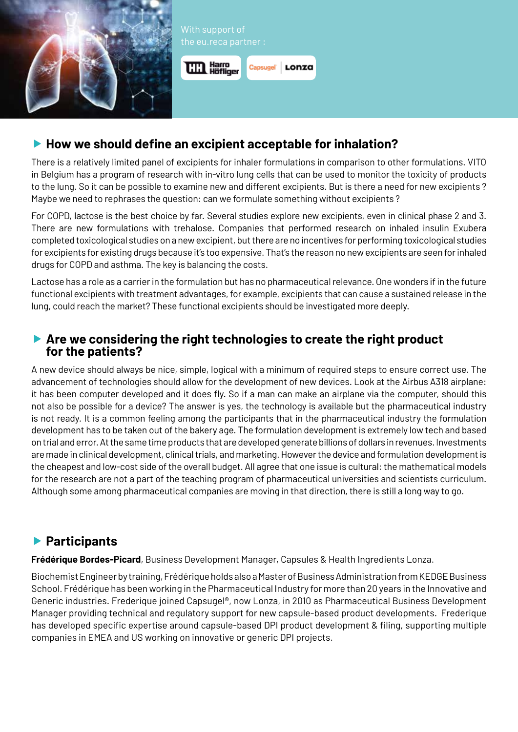



## **How we should define an excipient acceptable for inhalation?**

There is a relatively limited panel of excipients for inhaler formulations in comparison to other formulations. VITO in Belgium has a program of research with in-vitro lung cells that can be used to monitor the toxicity of products to the lung. So it can be possible to examine new and different excipients. But is there a need for new excipients ? Maybe we need to rephrases the question: can we formulate something without excipients ?

For COPD, lactose is the best choice by far. Several studies explore new excipients, even in clinical phase 2 and 3. There are new formulations with trehalose. Companies that performed research on inhaled insulin Exubera completed toxicological studies on a new excipient, but there are no incentives for performing toxicological studies for excipients for existing drugs because it's too expensive. That's the reason no new excipients are seen for inhaled drugs for COPD and asthma. The key is balancing the costs.

Lactose has a role as a carrier in the formulation but has no pharmaceutical relevance. One wonders if in the future functional excipients with treatment advantages, for example, excipients that can cause a sustained release in the lung, could reach the market? These functional excipients should be investigated more deeply.

### **Are we considering the right technologies to create the right product for the patients?**

A new device should always be nice, simple, logical with a minimum of required steps to ensure correct use. The advancement of technologies should allow for the development of new devices. Look at the Airbus A318 airplane: it has been computer developed and it does fly. So if a man can make an airplane via the computer, should this not also be possible for a device? The answer is yes, the technology is available but the pharmaceutical industry is not ready. It is a common feeling among the participants that in the pharmaceutical industry the formulation development has to be taken out of the bakery age. The formulation development is extremely low tech and based on trial and error. At the same time products that are developed generate billions of dollars in revenues. Investments are made in clinical development, clinical trials, and marketing. However the device and formulation development is the cheapest and low-cost side of the overall budget. All agree that one issue is cultural: the mathematical models for the research are not a part of the teaching program of pharmaceutical universities and scientists curriculum. Although some among pharmaceutical companies are moving in that direction, there is still a long way to go.

## **Participants**

**Frédérique Bordes-Picard**, Business Development Manager, Capsules & Health Ingredients Lonza.

Biochemist Engineer by training, Frédérique holds also a Master of Business Administration from KEDGE Business School. Frédérique has been working in the Pharmaceutical Industry for more than 20 years in the Innovative and Generic industries. Frederique joined Capsugel®, now Lonza, in 2010 as Pharmaceutical Business Development Manager providing technical and regulatory support for new capsule-based product developments. Frederique has developed specific expertise around capsule-based DPI product development & filing, supporting multiple companies in EMEA and US working on innovative or generic DPI projects.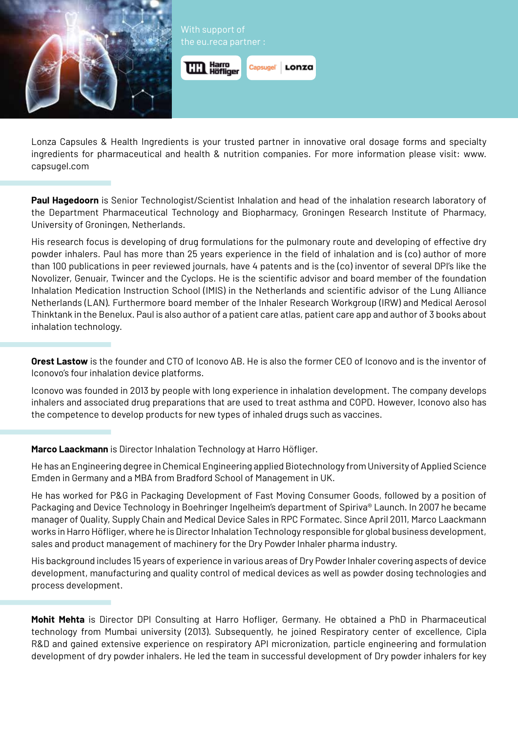



Lonza Capsules & Health Ingredients is your trusted partner in innovative oral dosage forms and specialty ingredients for pharmaceutical and health & nutrition companies. For more information please visit: www. capsugel.com

**Paul Hagedoorn** is Senior Technologist/Scientist Inhalation and head of the inhalation research laboratory of the Department Pharmaceutical Technology and Biopharmacy, Groningen Research Institute of Pharmacy, University of Groningen, Netherlands.

His research focus is developing of drug formulations for the pulmonary route and developing of effective dry powder inhalers. Paul has more than 25 years experience in the field of inhalation and is (co) author of more than 100 publications in peer reviewed journals, have 4 patents and is the (co) inventor of several DPI's like the Novolizer, Genuair, Twincer and the Cyclops. He is the scientific advisor and board member of the foundation Inhalation Medication Instruction School (IMIS) in the Netherlands and scientific advisor of the Lung Alliance Netherlands (LAN). Furthermore board member of the Inhaler Research Workgroup (IRW) and Medical Aerosol Thinktank in the Benelux. Paul is also author of a patient care atlas, patient care app and author of 3 books about inhalation technology.

**Orest Lastow** is the founder and CTO of Iconovo AB. He is also the former CEO of Iconovo and is the inventor of Iconovo's four inhalation device platforms.

Iconovo was founded in 2013 by people with long experience in inhalation development. The company develops inhalers and associated drug preparations that are used to treat asthma and COPD. However, Iconovo also has the competence to develop products for new types of inhaled drugs such as vaccines.

**Marco Laackmann** is Director Inhalation Technology at Harro Höfliger.

He has an Engineering degree in Chemical Engineering applied Biotechnology from University of Applied Science Emden in Germany and a MBA from Bradford School of Management in UK.

He has worked for P&G in Packaging Development of Fast Moving Consumer Goods, followed by a position of Packaging and Device Technology in Boehringer Ingelheim's department of Spiriva® Launch. In 2007 he became manager of Quality, Supply Chain and Medical Device Sales in RPC Formatec. Since April 2011, Marco Laackmann works in Harro Höfliger, where he is Director Inhalation Technology responsible for global business development, sales and product management of machinery for the Dry Powder Inhaler pharma industry.

His background includes 15 years of experience in various areas of Dry Powder Inhaler covering aspects of device development, manufacturing and quality control of medical devices as well as powder dosing technologies and process development.

**Mohit Mehta** is Director DPI Consulting at Harro Hofliger, Germany. He obtained a PhD in Pharmaceutical technology from Mumbai university (2013). Subsequently, he joined Respiratory center of excellence, Cipla R&D and gained extensive experience on respiratory API micronization, particle engineering and formulation development of dry powder inhalers. He led the team in successful development of Dry powder inhalers for key